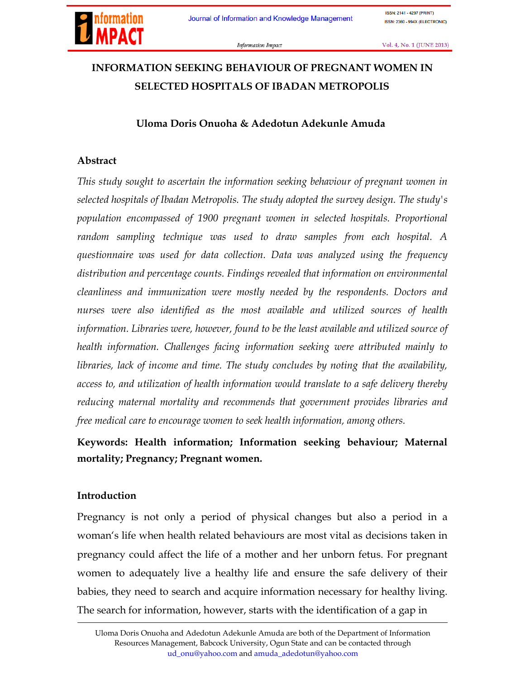

**ISSN: 2141 - 4297 (PRINT)** ISSN: 2360 - 994X (ELECTRONIC)

Information Impact

Vol. 4, No. 1 (JUNE 2013)

# INFORMATION SEEKING BEHAVIOUR OF PREGNANT WOMEN IN SELECTED HOSPITALS OF IBADAN METROPOLIS

#### Uloma Doris Onuoha & Adedotun Adekunle Amuda

#### Abstract

*This study sought to ascertain the information seeking behaviour of pregnant women in selected hospitals of Ibadan Metropolis. The study adopted the survey design. The study's population encompassed of 1900 pregnant women in selected hospitals. Proportional random sampling technique was used to draw samples from each hospital. A questionnaire was used for data collection. Data was analyzed using the frequency distribution and percentage counts. Findings revealed that information on environmental cleanliness and immunization were mostly needed by the respondents. Doctors and nurses were also identified as the most available and utilized sources of health information. Libraries were, however, found to be the least available and utilized source of health information. Challenges facing information seeking were attributed mainly to libraries, lack of income and time. The study concludes by noting that the availability, access to, and utilization of health information would translate to a safe delivery thereby reducing maternal mortality and recommends that government provides libraries and free medical care to encourage women to seek health information, among others.*

## Keywords: Health information; Information seeking behaviour; Maternal mortality; Pregnancy; Pregnant women.

#### Introduction

Pregnancy is not only a period of physical changes but also a period in a woman's life when health related behaviours are most vital as decisions taken in pregnancy could affect the life of a mother and her unborn fetus. For pregnant women to adequately live a healthy life and ensure the safe delivery of their babies, they need to search and acquire information necessary for healthy living. The search for information, however, starts with the identification of a gap in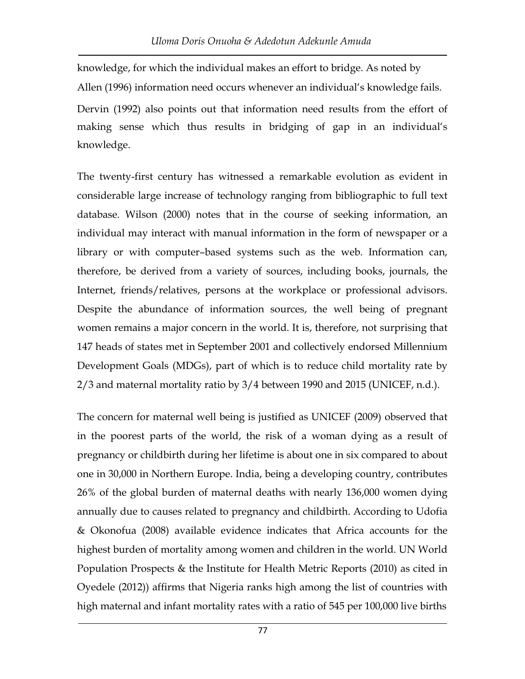knowledge, for which the individual makes an effort to bridge. As noted by Allen (1996) information need occurs whenever an individual's knowledge fails. Dervin (1992) also points out that information need results from the effort of making sense which thus results in bridging of gap in an individual's knowledge.

The twenty-first century has witnessed a remarkable evolution as evident in considerable large increase of technology ranging from bibliographic to full text database. Wilson (2000) notes that in the course of seeking information, an individual may interact with manual information in the form of newspaper or a library or with computer–based systems such as the web. Information can, therefore, be derived from a variety of sources, including books, journals, the Internet, friends/relatives, persons at the workplace or professional advisors. Despite the abundance of information sources, the well being of pregnant women remains a major concern in the world. It is, therefore, not surprising that 147 heads of states met in September 2001 and collectively endorsed Millennium Development Goals (MDGs), part of which is to reduce child mortality rate by 2/3 and maternal mortality ratio by 3/4 between 1990 and 2015 (UNICEF, n.d.).

The concern for maternal well being is justified as UNICEF (2009) observed that in the poorest parts of the world, the risk of a woman dying as a result of pregnancy or childbirth during her lifetime is about one in six compared to about one in 30,000 in Northern Europe. India, being a developing country, contributes 26% of the global burden of maternal deaths with nearly 136,000 women dying annually due to causes related to pregnancy and childbirth. According to Udofia & Okonofua (2008) available evidence indicates that Africa accounts for the highest burden of mortality among women and children in the world. UN World Population Prospects & the Institute for Health Metric Reports (2010) as cited in Oyedele (2012)) affirms that Nigeria ranks high among the list of countries with high maternal and infant mortality rates with a ratio of 545 per 100,000 live births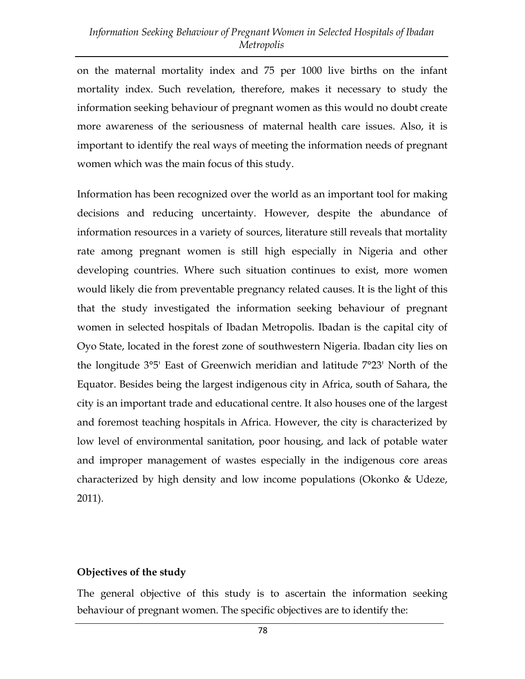on the maternal mortality index and 75 per 1000 live births on the infant mortality index. Such revelation, therefore, makes it necessary to study the information seeking behaviour of pregnant women as this would no doubt create more awareness of the seriousness of maternal health care issues. Also, it is important to identify the real ways of meeting the information needs of pregnant women which was the main focus of this study.

Information has been recognized over the world as an important tool for making decisions and reducing uncertainty. However, despite the abundance of information resources in a variety of sources, literature still reveals that mortality rate among pregnant women is still high especially in Nigeria and other developing countries. Where such situation continues to exist, more women would likely die from preventable pregnancy related causes. It is the light of this that the study investigated the information seeking behaviour of pregnant women in selected hospitals of Ibadan Metropolis. Ibadan is the capital city of Oyo State, located in the forest zone of southwestern Nigeria. Ibadan city lies on the longitude 3°5' East of Greenwich meridian and latitude 7°23' North of the Equator. Besides being the largest indigenous city in Africa, south of Sahara, the city is an important trade and educational centre. It also houses one of the largest and foremost teaching hospitals in Africa. However, the city is characterized by low level of environmental sanitation, poor housing, and lack of potable water and improper management of wastes especially in the indigenous core areas characterized by high density and low income populations (Okonko & Udeze, 2011).

#### Objectives of the study

The general objective of this study is to ascertain the information seeking behaviour of pregnant women. The specific objectives are to identify the: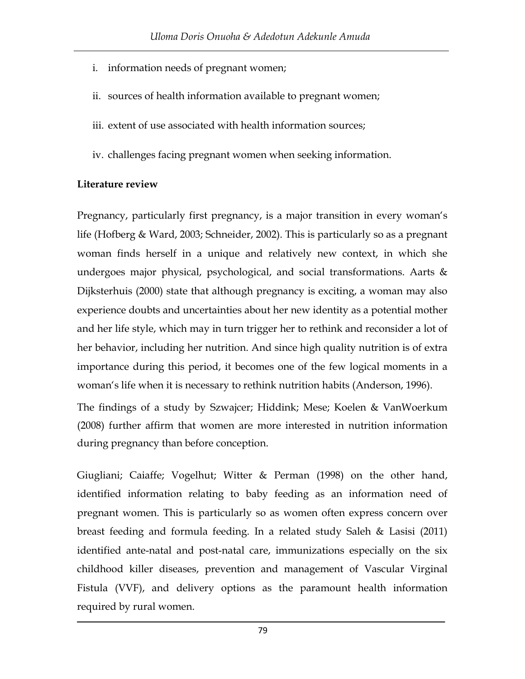- i. information needs of pregnant women;
- ii. sources of health information available to pregnant women;
- iii. extent of use associated with health information sources;
- iv. challenges facing pregnant women when seeking information.

## Literature review

Pregnancy, particularly first pregnancy, is a major transition in every woman's life (Hofberg & Ward, 2003; Schneider, 2002). This is particularly so as a pregnant woman finds herself in a unique and relatively new context, in which she undergoes major physical, psychological, and social transformations. Aarts & Dijksterhuis (2000) state that although pregnancy is exciting, a woman may also experience doubts and uncertainties about her new identity as a potential mother and her life style, which may in turn trigger her to rethink and reconsider a lot of her behavior, including her nutrition. And since high quality nutrition is of extra importance during this period, it becomes one of the few logical moments in a woman's life when it is necessary to rethink nutrition habits (Anderson, 1996).

The findings of a study by Szwajcer; Hiddink; Mese; Koelen & VanWoerkum (2008) further affirm that women are more interested in nutrition information during pregnancy than before conception.

Giugliani; Caiaffe; Vogelhut; Witter & Perman (1998) on the other hand, identified information relating to baby feeding as an information need of pregnant women. This is particularly so as women often express concern over breast feeding and formula feeding. In a related study Saleh & Lasisi (2011) identified ante-natal and post-natal care, immunizations especially on the six childhood killer diseases, prevention and management of Vascular Virginal Fistula (VVF), and delivery options as the paramount health information required by rural women.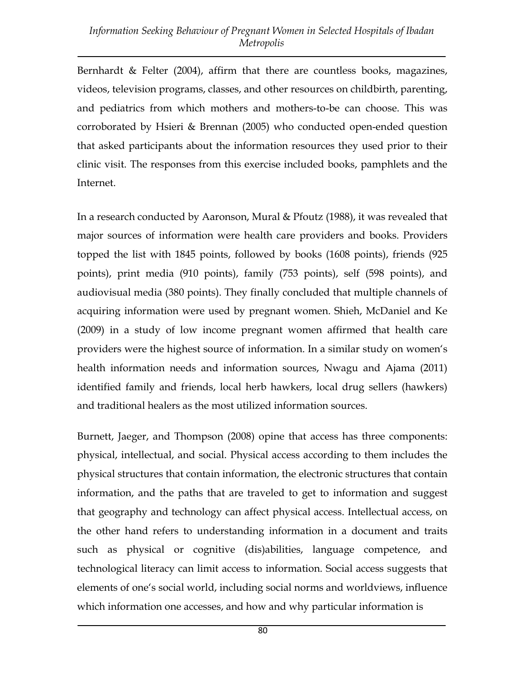Bernhardt & Felter (2004), affirm that there are countless books, magazines, videos, television programs, classes, and other resources on childbirth, parenting, and pediatrics from which mothers and mothers-to-be can choose. This was corroborated by Hsieri & Brennan (2005) who conducted open-ended question that asked participants about the information resources they used prior to their clinic visit. The responses from this exercise included books, pamphlets and the Internet.

In a research conducted by Aaronson, Mural & Pfoutz (1988), it was revealed that major sources of information were health care providers and books. Providers topped the list with 1845 points, followed by books (1608 points), friends (925 points), print media (910 points), family (753 points), self (598 points), and audiovisual media (380 points). They finally concluded that multiple channels of acquiring information were used by pregnant women. Shieh, McDaniel and Ke (2009) in a study of low income pregnant women affirmed that health care providers were the highest source of information. In a similar study on women's health information needs and information sources, Nwagu and Ajama (2011) identified family and friends, local herb hawkers, local drug sellers (hawkers) and traditional healers as the most utilized information sources.

Burnett, Jaeger, and Thompson (2008) opine that access has three components: physical, intellectual, and social. Physical access according to them includes the physical structures that contain information, the electronic structures that contain information, and the paths that are traveled to get to information and suggest that geography and technology can affect physical access. Intellectual access, on the other hand refers to understanding information in a document and traits such as physical or cognitive (dis)abilities, language competence, and technological literacy can limit access to information. Social access suggests that elements of one's social world, including social norms and worldviews, influence which information one accesses, and how and why particular information is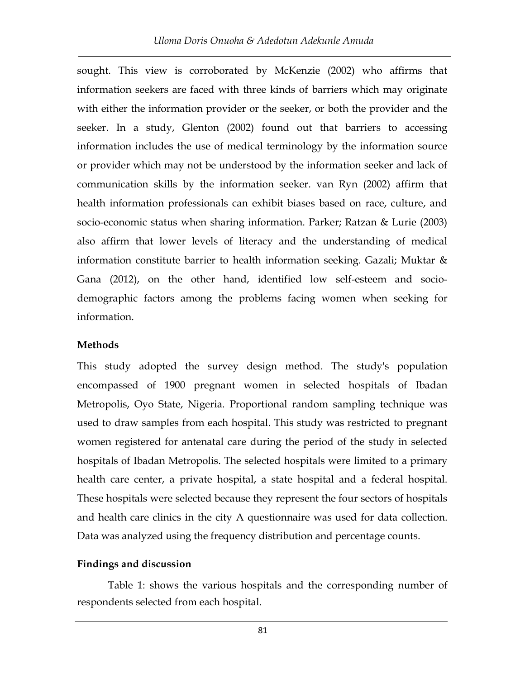sought. This view is corroborated by McKenzie (2002) who affirms that information seekers are faced with three kinds of barriers which may originate with either the information provider or the seeker, or both the provider and the seeker. In a study, Glenton (2002) found out that barriers to accessing information includes the use of medical terminology by the information source or provider which may not be understood by the information seeker and lack of communication skills by the information seeker. van Ryn (2002) affirm that health information professionals can exhibit biases based on race, culture, and socio-economic status when sharing information. Parker; Ratzan & Lurie (2003) also affirm that lower levels of literacy and the understanding of medical information constitute barrier to health information seeking. Gazali; Muktar & Gana (2012), on the other hand, identified low self-esteem and sociodemographic factors among the problems facing women when seeking for information.

#### **Methods**

This study adopted the survey design method. The study's population encompassed of 1900 pregnant women in selected hospitals of Ibadan Metropolis, Oyo State, Nigeria. Proportional random sampling technique was used to draw samples from each hospital. This study was restricted to pregnant women registered for antenatal care during the period of the study in selected hospitals of Ibadan Metropolis. The selected hospitals were limited to a primary health care center, a private hospital, a state hospital and a federal hospital. These hospitals were selected because they represent the four sectors of hospitals and health care clinics in the city A questionnaire was used for data collection. Data was analyzed using the frequency distribution and percentage counts.

#### Findings and discussion

Table 1: shows the various hospitals and the corresponding number of respondents selected from each hospital.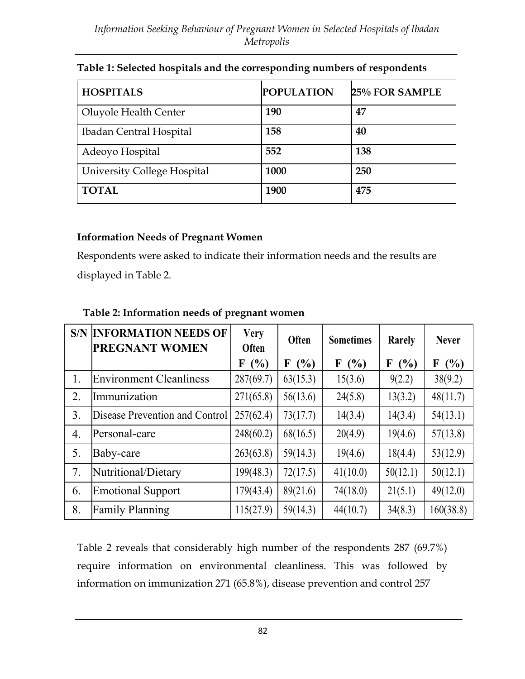| <b>HOSPITALS</b>            | <b>POPULATION</b> | 25% FOR SAMPLE |
|-----------------------------|-------------------|----------------|
| Oluyole Health Center       | 190               | 47             |
| Ibadan Central Hospital     | 158               | 40             |
| Adeoyo Hospital             | 552               | 138            |
| University College Hospital | 1000              | 250            |
| <b>TOTAL</b>                | 1900              | 475            |

#### Table 1: Selected hospitals and the corresponding numbers of respondents

#### Information Needs of Pregnant Women

Respondents were asked to indicate their information needs and the results are displayed in Table 2.

|                  | <b>S/N INFORMATION NEEDS OF</b><br><b>PREGNANT WOMEN</b> | <b>Very</b><br>Often | Often              | <b>Sometimes</b> | Rarely   | <b>Never</b> |
|------------------|----------------------------------------------------------|----------------------|--------------------|------------------|----------|--------------|
|                  |                                                          | (%)<br>F             | (%)<br>$\mathbf F$ | (%)<br>F         | (%)<br>F | (%)<br>F     |
| 1.               | <b>Environment Cleanliness</b>                           | 287(69.7)            | 63(15.3)           | 15(3.6)          | 9(2.2)   | 38(9.2)      |
| 2.               | Immunization                                             | 271(65.8)            | 56(13.6)           | 24(5.8)          | 13(3.2)  | 48(11.7)     |
| 3.               | Disease Prevention and Control                           | 257(62.4)            | 73(17.7)           | 14(3.4)          | 14(3.4)  | 54(13.1)     |
| $\overline{4}$ . | Personal-care                                            | 248(60.2)            | 68(16.5)           | 20(4.9)          | 19(4.6)  | 57(13.8)     |
| 5.               | Baby-care                                                | 263(63.8)            | 59(14.3)           | 19(4.6)          | 18(4.4)  | 53(12.9)     |
| 7.               | Nutritional/Dietary                                      | 199(48.3)            | 72(17.5)           | 41(10.0)         | 50(12.1) | 50(12.1)     |
| 6.               | <b>Emotional Support</b>                                 | 179(43.4)            | 89(21.6)           | 74(18.0)         | 21(5.1)  | 49(12.0)     |
| 8.               | <b>Family Planning</b>                                   | 115(27.9)            | 59(14.3)           | 44(10.7)         | 34(8.3)  | 160(38.8)    |

#### Table 2: Information needs of pregnant women

Table 2 reveals that considerably high number of the respondents 287 (69.7%) require information on environmental cleanliness. This was followed by information on immunization 271 (65.8%), disease prevention and control 257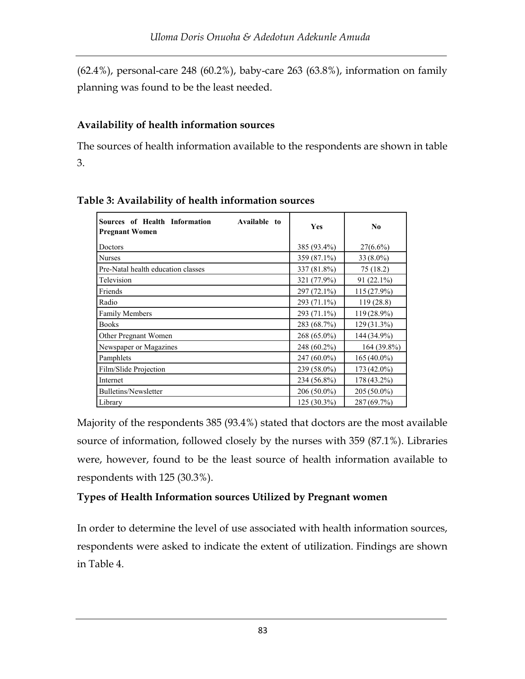(62.4%), personal-care 248 (60.2%), baby-care 263 (63.8%), information on family planning was found to be the least needed.

## Availability of health information sources

The sources of health information available to the respondents are shown in table 3.

| Sources of Health Information<br>Available to<br><b>Pregnant Women</b> | <b>Yes</b>  | N <sub>0</sub> |
|------------------------------------------------------------------------|-------------|----------------|
| Doctors                                                                | 385 (93.4%) | $27(6.6\%)$    |
| <b>Nurses</b>                                                          | 359 (87.1%) | $33(8.0\%)$    |
| Pre-Natal health education classes                                     | 337 (81.8%) | 75(18.2)       |
| Television                                                             | 321 (77.9%) | 91 (22.1%)     |
| Friends                                                                | 297 (72.1%) | 115 (27.9%)    |
| Radio                                                                  | 293 (71.1%) | 119(28.8)      |
| <b>Family Members</b>                                                  | 293 (71.1%) | 119 (28.9%)    |
| <b>Books</b>                                                           | 283 (68.7%) | $129(31.3\%)$  |
| Other Pregnant Women                                                   | 268 (65.0%) | 144 (34.9%)    |
| Newspaper or Magazines                                                 | 248 (60.2%) | 164 (39.8%)    |
| Pamphlets                                                              | 247 (60.0%) | $165(40.0\%)$  |
| Film/Slide Projection                                                  | 239 (58.0%) | 173 (42.0%)    |
| Internet                                                               | 234 (56.8%) | $178(43.2\%)$  |
| Bulletins/Newsletter                                                   | 206 (50.0%) | 205 (50.0%)    |
| Library                                                                | 125 (30.3%) | 287 (69.7%)    |

Table 3: Availability of health information sources

Majority of the respondents 385 (93.4%) stated that doctors are the most available source of information, followed closely by the nurses with 359 (87.1%). Libraries were, however, found to be the least source of health information available to respondents with 125 (30.3%).

## Types of Health Information sources Utilized by Pregnant women

In order to determine the level of use associated with health information sources, respondents were asked to indicate the extent of utilization. Findings are shown in Table 4.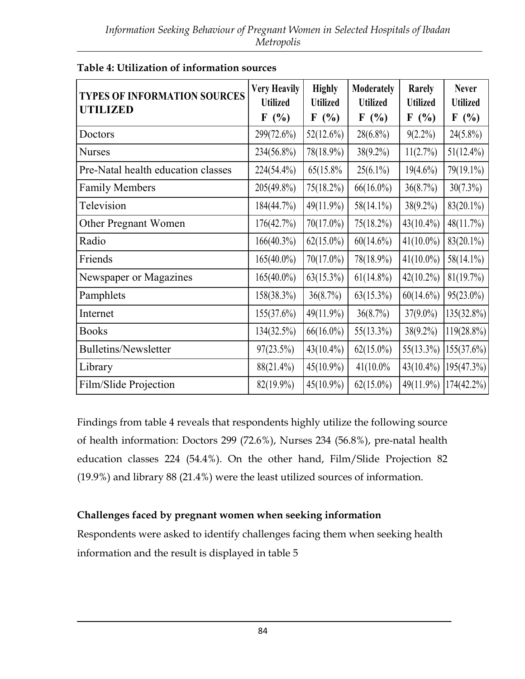| <b>TYPES OF INFORMATION SOURCES</b><br><b>UTILIZED</b> | <b>Very Heavily</b><br><b>Utilized</b><br>F(%) | <b>Highly</b><br><b>Utilized</b><br>F(%) | Moderately<br><b>Utilized</b><br>F(%) | Rarely<br><b>Utilized</b><br>F(%) | <b>Never</b><br><b>Utilized</b><br>F(%) |
|--------------------------------------------------------|------------------------------------------------|------------------------------------------|---------------------------------------|-----------------------------------|-----------------------------------------|
| Doctors                                                | 299(72.6%)                                     | $52(12.6\%)$                             | $28(6.8\%)$                           | $9(2.2\%)$                        | $24(5.8\%)$                             |
| <b>Nurses</b>                                          | 234(56.8%)                                     | 78(18.9%)                                | $38(9.2\%)$                           | 11(2.7%)                          | $51(12.4\%)$                            |
| Pre-Natal health education classes                     | 224(54.4%)                                     | 65(15.8%)                                | $25(6.1\%)$                           | $19(4.6\%)$                       | 79(19.1%)                               |
| <b>Family Members</b>                                  | $205(49.8\%)$                                  | $75(18.2\%)$                             | $66(16.0\%)$                          | 36(8.7%)                          | $30(7.3\%)$                             |
| Television                                             | 184(44.7%)                                     | 49(11.9%)                                | $58(14.1\%)$                          | $38(9.2\%)$                       | $83(20.1\%)$                            |
| Other Pregnant Women                                   | 176(42.7%)                                     | $70(17.0\%)$                             | $75(18.2\%)$                          | $43(10.4\%)$                      | 48(11.7%)                               |
| Radio                                                  | $166(40.3\%)$                                  | $62(15.0\%)$                             | $60(14.6\%)$                          | $41(10.0\%)$                      | $83(20.1\%)$                            |
| Friends                                                | $165(40.0\%)$                                  | $70(17.0\%)$                             | 78(18.9%)                             | $41(10.0\%)$                      | $58(14.1\%)$                            |
| Newspaper or Magazines                                 | $165(40.0\%)$                                  | $63(15.3\%)$                             | $61(14.8\%)$                          | $42(10.2\%)$                      | 81(19.7%)                               |
| Pamphlets                                              | 158(38.3%)                                     | 36(8.7%)                                 | $63(15.3\%)$                          | $60(14.6\%)$                      | $95(23.0\%)$                            |
| Internet                                               | 155(37.6%)                                     | $49(11.9\%)$                             | 36(8.7%)                              | $37(9.0\%)$                       | 135(32.8%)                              |
| <b>Books</b>                                           | 134(32.5%)                                     | $66(16.0\%)$                             | $55(13.3\%)$                          | $38(9.2\%)$                       | 119(28.8%)                              |
| <b>Bulletins/Newsletter</b>                            | 97(23.5%)                                      | $43(10.4\%)$                             | $62(15.0\%)$                          | $55(13.3\%)$                      | 155(37.6%)                              |
| Library                                                | $88(21.4\%)$                                   | $45(10.9\%)$                             | $41(10.0\%$                           | $43(10.4\%)$                      | 195(47.3%)                              |
| Film/Slide Projection                                  | $82(19.9\%)$                                   | $45(10.9\%)$                             | $62(15.0\%)$                          | $49(11.9\%)$                      | $174(42.2\%)$                           |

| Table 4: Utilization of information sources |  |  |
|---------------------------------------------|--|--|
|---------------------------------------------|--|--|

Findings from table 4 reveals that respondents highly utilize the following source of health information: Doctors 299 (72.6%), Nurses 234 (56.8%), pre-natal health education classes 224 (54.4%). On the other hand, Film/Slide Projection 82 (19.9%) and library 88 (21.4%) were the least utilized sources of information.

## Challenges faced by pregnant women when seeking information

Respondents were asked to identify challenges facing them when seeking health information and the result is displayed in table 5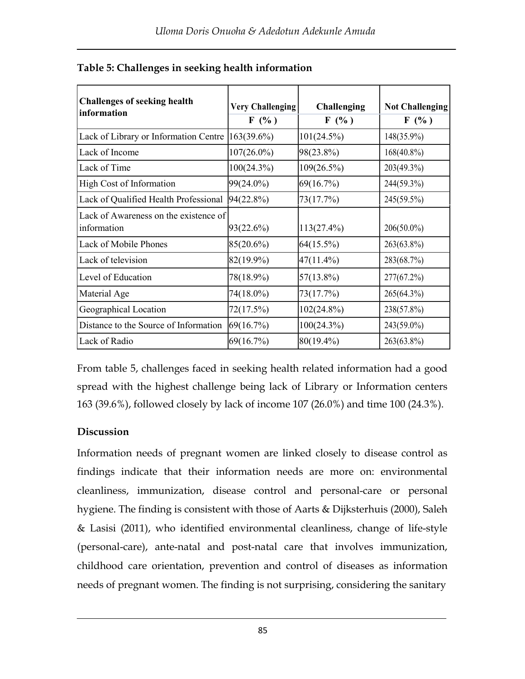| <b>Challenges of seeking health</b><br>information   | <b>Very Challenging</b><br>F(% ) | <b>Challenging</b><br>F(% ) | <b>Not Challenging</b><br>F(% ) |
|------------------------------------------------------|----------------------------------|-----------------------------|---------------------------------|
| Lack of Library or Information Centre                | 163(39.6%)                       | 101(24.5%)                  | 148(35.9%)                      |
| Lack of Income                                       | $107(26.0\%)$                    | 98(23.8%)                   | $168(40.8\%)$                   |
| Lack of Time                                         | 100(24.3%)                       | $109(26.5\%)$               | 203(49.3%)                      |
| High Cost of Information                             | 99(24.0%)                        | 69(16.7%)                   | 244(59.3%)                      |
| Lack of Qualified Health Professional                | 94(22.8%)                        | 73(17.7%)                   | 245(59.5%)                      |
| Lack of Awareness on the existence of<br>information | 93(22.6%)                        | $113(27.4\%)$               | $206(50.0\%)$                   |
| Lack of Mobile Phones                                | 85(20.6%)                        | 64(15.5%)                   | 263(63.8%)                      |
| Lack of television                                   | 82(19.9%)                        | $47(11.4\%)$                | 283(68.7%)                      |
| Level of Education                                   | 78(18.9%)                        | 57(13.8%)                   | 277(67.2%)                      |
| Material Age                                         | 74(18.0%)                        | 73(17.7%)                   | 265(64.3%)                      |
| Geographical Location                                | 72(17.5%)                        | $102(24.8\%)$               | 238(57.8%)                      |
| Distance to the Source of Information                | 69(16.7%)                        | 100(24.3%)                  | 243(59.0%)                      |
| Lack of Radio                                        | 69(16.7%)                        | 80(19.4%)                   | 263(63.8%)                      |

|  |  |  | Table 5: Challenges in seeking health information |
|--|--|--|---------------------------------------------------|
|  |  |  |                                                   |

From table 5, challenges faced in seeking health related information had a good spread with the highest challenge being lack of Library or Information centers 163 (39.6%), followed closely by lack of income 107 (26.0%) and time 100 (24.3%).

## **Discussion**

Information needs of pregnant women are linked closely to disease control as findings indicate that their information needs are more on: environmental cleanliness, immunization, disease control and personal-care or personal hygiene. The finding is consistent with those of Aarts & Dijksterhuis (2000), Saleh & Lasisi (2011), who identified environmental cleanliness, change of life-style (personal-care), ante-natal and post-natal care that involves immunization, childhood care orientation, prevention and control of diseases as information needs of pregnant women. The finding is not surprising, considering the sanitary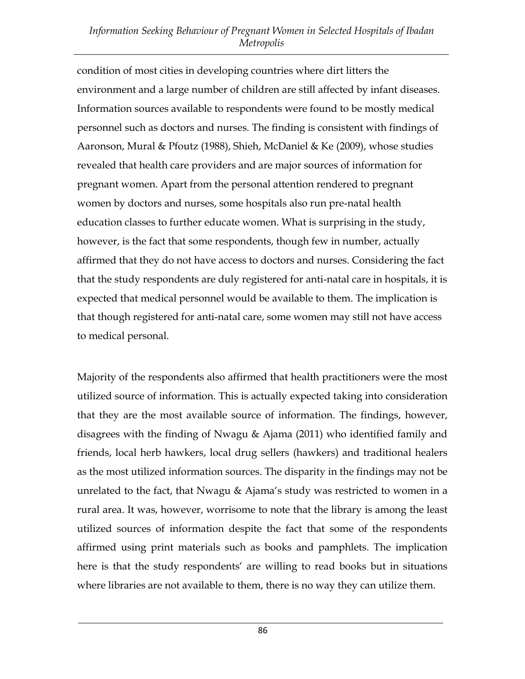## *Information Seeking Behaviour of Pregnant Women in Selected Hospitals of Ibadan Metropolis*

condition of most cities in developing countries where dirt litters the environment and a large number of children are still affected by infant diseases. Information sources available to respondents were found to be mostly medical personnel such as doctors and nurses. The finding is consistent with findings of Aaronson, Mural & Pfoutz (1988), Shieh, McDaniel & Ke (2009), whose studies revealed that health care providers and are major sources of information for pregnant women. Apart from the personal attention rendered to pregnant women by doctors and nurses, some hospitals also run pre-natal health education classes to further educate women. What is surprising in the study, however, is the fact that some respondents, though few in number, actually affirmed that they do not have access to doctors and nurses. Considering the fact that the study respondents are duly registered for anti-natal care in hospitals, it is expected that medical personnel would be available to them. The implication is that though registered for anti-natal care, some women may still not have access to medical personal.

Majority of the respondents also affirmed that health practitioners were the most utilized source of information. This is actually expected taking into consideration that they are the most available source of information. The findings, however, disagrees with the finding of Nwagu & Ajama (2011) who identified family and friends, local herb hawkers, local drug sellers (hawkers) and traditional healers as the most utilized information sources. The disparity in the findings may not be unrelated to the fact, that Nwagu & Ajama's study was restricted to women in a rural area. It was, however, worrisome to note that the library is among the least utilized sources of information despite the fact that some of the respondents affirmed using print materials such as books and pamphlets. The implication here is that the study respondents' are willing to read books but in situations where libraries are not available to them, there is no way they can utilize them.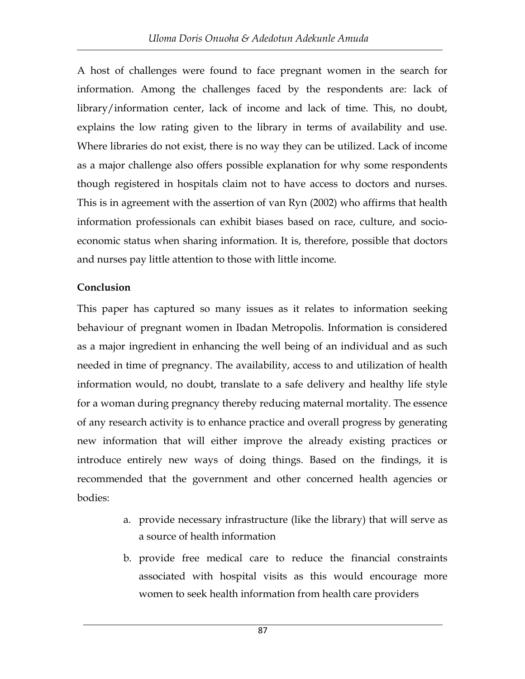A host of challenges were found to face pregnant women in the search for information. Among the challenges faced by the respondents are: lack of library/information center, lack of income and lack of time. This, no doubt, explains the low rating given to the library in terms of availability and use. Where libraries do not exist, there is no way they can be utilized. Lack of income as a major challenge also offers possible explanation for why some respondents though registered in hospitals claim not to have access to doctors and nurses. This is in agreement with the assertion of van Ryn (2002) who affirms that health information professionals can exhibit biases based on race, culture, and socioeconomic status when sharing information. It is, therefore, possible that doctors and nurses pay little attention to those with little income.

## Conclusion

This paper has captured so many issues as it relates to information seeking behaviour of pregnant women in Ibadan Metropolis. Information is considered as a major ingredient in enhancing the well being of an individual and as such needed in time of pregnancy. The availability, access to and utilization of health information would, no doubt, translate to a safe delivery and healthy life style for a woman during pregnancy thereby reducing maternal mortality. The essence of any research activity is to enhance practice and overall progress by generating new information that will either improve the already existing practices or introduce entirely new ways of doing things. Based on the findings, it is recommended that the government and other concerned health agencies or bodies:

- a. provide necessary infrastructure (like the library) that will serve as a source of health information
- b. provide free medical care to reduce the financial constraints associated with hospital visits as this would encourage more women to seek health information from health care providers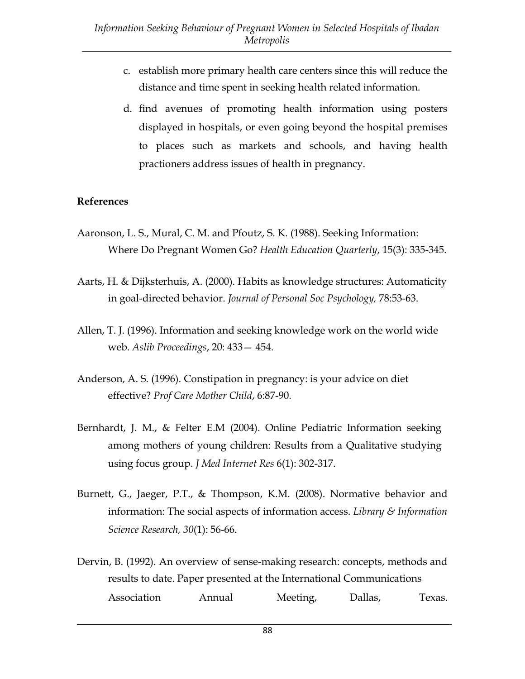- c. establish more primary health care centers since this will reduce the distance and time spent in seeking health related information.
- d. find avenues of promoting health information using posters displayed in hospitals, or even going beyond the hospital premises to places such as markets and schools, and having health practioners address issues of health in pregnancy.

#### References

- Aaronson, L. S., Mural, C. M. and Pfoutz, S. K. (1988). Seeking Information: Where Do Pregnant Women Go? *Health Education Quarterly*, 15(3): 335-345.
- Aarts, H. & Dijksterhuis, A. (2000). Habits as knowledge structures: Automaticity in goal-directed behavior. *Journal of Personal Soc Psychology,* 78:53-63.
- Allen, T. J. (1996). Information and seeking knowledge work on the world wide web. *Aslib Proceedings*, 20: 433— 454.
- Anderson, A. S. (1996). Constipation in pregnancy: is your advice on diet effective? *Prof Care Mother Child*, 6:87-90.
- Bernhardt, J. M., & Felter E.M (2004). Online Pediatric Information seeking among mothers of young children: Results from a Qualitative studying using focus group. *J Med Internet Res* 6(1): 302-317.
- Burnett, G., Jaeger, P.T., & Thompson, K.M. (2008). Normative behavior and information: The social aspects of information access. *Library & Information Science Research, 30*(1): 56-66.
- Dervin, B. (1992). An overview of sense-making research: concepts, methods and results to date. Paper presented at the International Communications Association Annual Meeting, Dallas, Texas.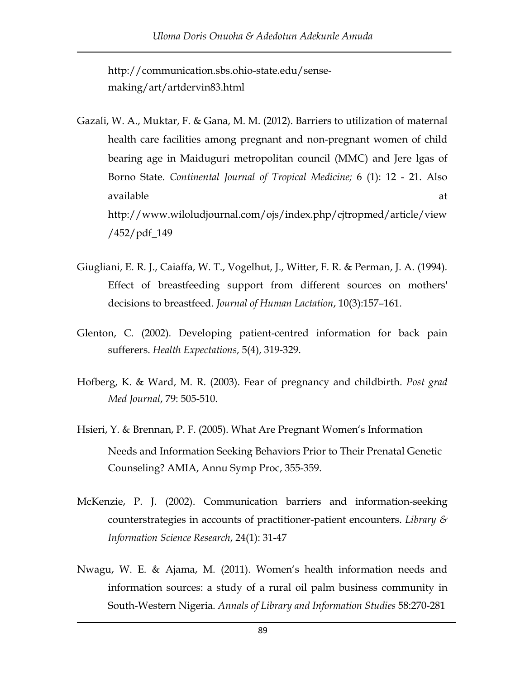http://communication.sbs.ohio-state.edu/sensemaking/art/artdervin83.html

- Gazali, W. A., Muktar, F. & Gana, M. M. (2012). Barriers to utilization of maternal health care facilities among pregnant and non-pregnant women of child bearing age in Maiduguri metropolitan council (MMC) and Jere lgas of Borno State. *Continental Journal of Tropical Medicine;* 6 (1): 12 - 21. Also available at a state of the state of the state  $\alpha$ http://www.wiloludjournal.com/ojs/index.php/cjtropmed/article/view /452/pdf\_149
- Giugliani, E. R. J., Caiaffa, W. T., Vogelhut, J., Witter, F. R. & Perman, J. A. (1994). Effect of breastfeeding support from different sources on mothers' decisions to breastfeed. *Journal of Human Lactation*, 10(3):157–161.
- Glenton, C. (2002). Developing patient-centred information for back pain sufferers. *Health Expectations*, 5(4), 319-329.
- Hofberg, K. & Ward, M. R. (2003). Fear of pregnancy and childbirth. *Post grad Med Journal*, 79: 505-510.
- Hsieri, Y. & Brennan, P. F. (2005). What Are Pregnant Women's Information Needs and Information Seeking Behaviors Prior to Their Prenatal Genetic Counseling? AMIA, Annu Symp Proc, 355-359.
- McKenzie, P. J. (2002). Communication barriers and information-seeking counterstrategies in accounts of practitioner-patient encounters. *Library & Information Science Research*, 24(1): 31-47
- Nwagu, W. E. & Ajama, M. (2011). Women's health information needs and information sources: a study of a rural oil palm business community in South-Western Nigeria. *Annals of Library and Information Studies* 58:270-281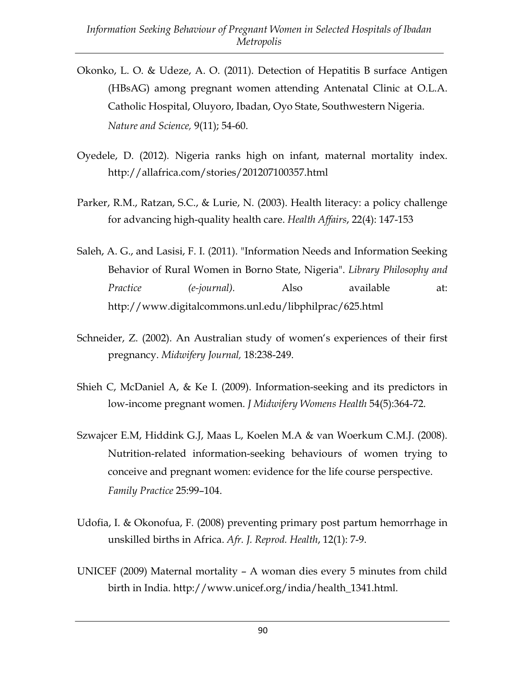- Okonko, L. O. & Udeze, A. O. (2011). Detection of Hepatitis B surface Antigen (HBsAG) among pregnant women attending Antenatal Clinic at O.L.A. Catholic Hospital, Oluyoro, Ibadan, Oyo State, Southwestern Nigeria. *Nature and Science,* 9(11); 54-60.
- Oyedele, D. (2012)*.* Nigeria ranks high on infant, maternal mortality index. http://allafrica.com/stories/201207100357.html
- Parker, R.M., Ratzan, S.C., & Lurie, N. (2003). Health literacy: a policy challenge for advancing high-quality health care. *Health Affairs*, 22(4): 147-153
- Saleh, A. G., and Lasisi, F. I. (2011). "Information Needs and Information Seeking Behavior of Rural Women in Borno State, Nigeria". *Library Philosophy and Practice (e-journal).* Also available at: http://www.digitalcommons.unl.edu/libphilprac/625.html
- Schneider, Z. (2002). An Australian study of women's experiences of their first pregnancy. *Midwifery Journal,* 18:238-249.
- Shieh C, McDaniel A, & Ke I. (2009). Information-seeking and its predictors in low-income pregnant women. *J Midwifery Womens Health* 54(5):364-72.
- Szwajcer E.M, Hiddink G.J, Maas L, Koelen M.A & van Woerkum C.M.J. (2008). Nutrition-related information-seeking behaviours of women trying to conceive and pregnant women: evidence for the life course perspective. *Family Practice* 25:99–104.
- Udofia, I. & Okonofua, F. (2008) preventing primary post partum hemorrhage in unskilled births in Africa. *Afr. J. Reprod. Health*, 12(1): 7-9.
- UNICEF (2009) Maternal mortality A woman dies every 5 minutes from child birth in India. http://www.unicef.org/india/health\_1341.html.